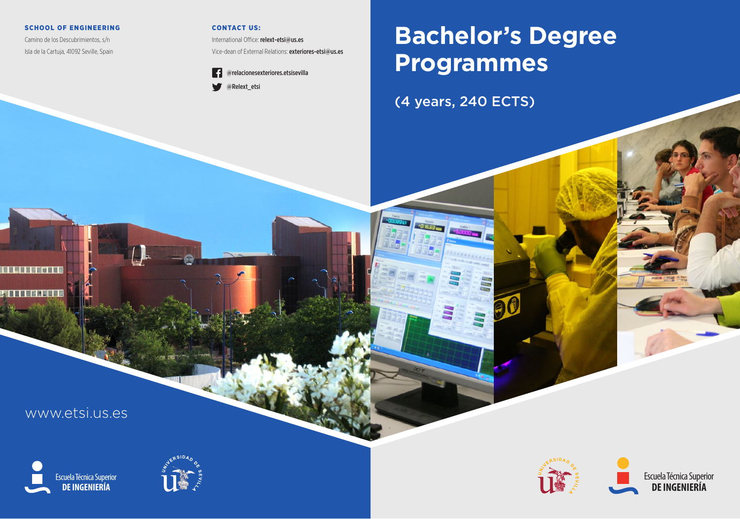## SCHOOL OF ENGINEERING

Camino de los Descubrimientos, s/n Isla de la Cartuja, 41092 Seville, Spain

## CONTACT US:

International Office: relext-etsi@us.es Vice-dean of External Relations: exteriores-etsi@us.es



# **Bachelor's Degree Programmes**

**a0** 

(4 years, 240 ECTS)

+0 6.63 mm

www.etsi.us.es

(明明明显图明时间图明)

m

**DE INGENIERÍA** Escuela Técnica Superior